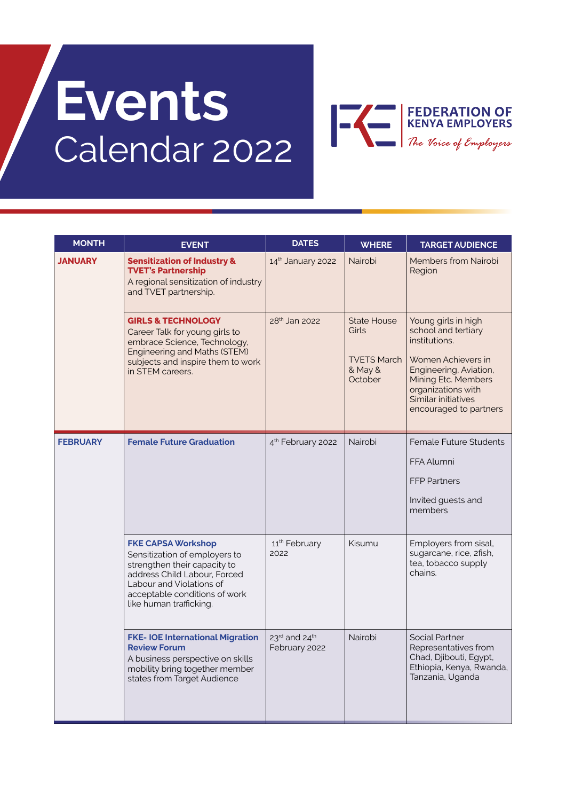# **Events** Calendar 2022



| <b>MONTH</b>    | <b>EVENT</b>                                                                                                                                                                                                       | <b>DATES</b>                                           | <b>WHERE</b>                                                                   | <b>TARGET AUDIENCE</b>                                                                                                                                                                                    |
|-----------------|--------------------------------------------------------------------------------------------------------------------------------------------------------------------------------------------------------------------|--------------------------------------------------------|--------------------------------------------------------------------------------|-----------------------------------------------------------------------------------------------------------------------------------------------------------------------------------------------------------|
| <b>JANUARY</b>  | <b>Sensitization of Industry &amp;</b><br><b>TVET's Partnership</b><br>A regional sensitization of industry<br>and TVET partnership.                                                                               | 14th January 2022                                      | Nairobi                                                                        | <b>Members from Nairobi</b><br>Region                                                                                                                                                                     |
|                 | <b>GIRLS &amp; TECHNOLOGY</b><br>Career Talk for young girls to<br>embrace Science, Technology,<br>Engineering and Maths (STEM)<br>subjects and inspire them to work<br>in STEM careers.                           | 28 <sup>th</sup> Jan 2022                              | <b>State House</b><br><b>Girls</b><br><b>TVETS March</b><br>& May &<br>October | Young girls in high<br>school and tertiary<br>institutions.<br>Women Achievers in<br>Engineering, Aviation,<br>Mining Etc. Members<br>organizations with<br>Similar initiatives<br>encouraged to partners |
| <b>FEBRUARY</b> | <b>Female Future Graduation</b>                                                                                                                                                                                    | 4 <sup>th</sup> February 2022                          | Nairobi                                                                        | <b>Female Future Students</b><br>FFA Alumni<br><b>FFP Partners</b><br>Invited guests and<br>members                                                                                                       |
|                 | <b>FKE CAPSA Workshop</b><br>Sensitization of employers to<br>strengthen their capacity to<br>address Child Labour, Forced<br>Labour and Violations of<br>acceptable conditions of work<br>like human trafficking. | 11 <sup>th</sup> February<br>2022                      | Kisumu                                                                         | Employers from sisal,<br>sugarcane, rice, 2fish,<br>tea, tobacco supply<br>chains.                                                                                                                        |
|                 | <b>FKE-IOE International Migration</b><br><b>Review Forum</b><br>A business perspective on skills<br>mobility bring together member<br>states from Target Audience                                                 | $23^{\text{rd}}$ and $24^{\text{th}}$<br>February 2022 | Nairobi                                                                        | Social Partner<br>Representatives from<br>Chad, Djibouti, Egypt,<br>Ethiopia, Kenya, Rwanda,<br>Tanzania, Uganda                                                                                          |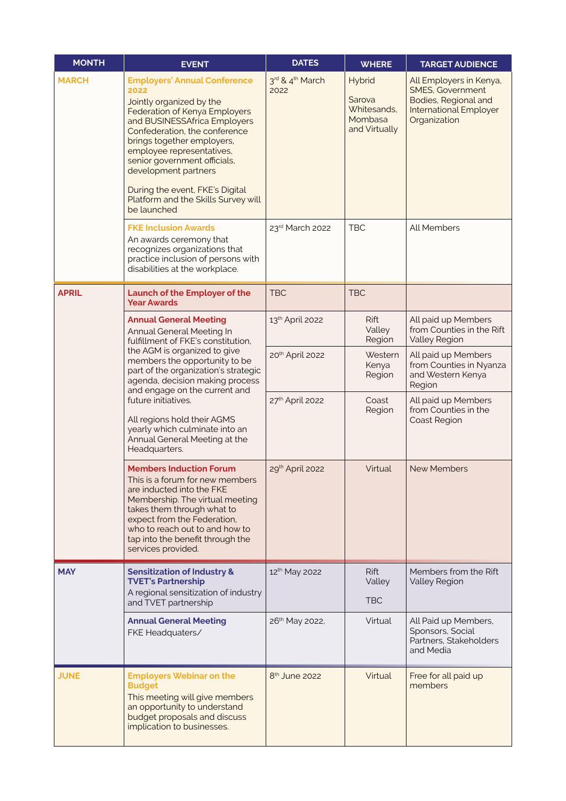| <b>MONTH</b> | <b>EVENT</b>                                                                                                                                                                                                                                                                                                                                                                                                                   | <b>DATES</b>                        | <b>WHERE</b>                                                | <b>TARGET AUDIENCE</b>                                                                                                      |
|--------------|--------------------------------------------------------------------------------------------------------------------------------------------------------------------------------------------------------------------------------------------------------------------------------------------------------------------------------------------------------------------------------------------------------------------------------|-------------------------------------|-------------------------------------------------------------|-----------------------------------------------------------------------------------------------------------------------------|
| <b>MARCH</b> | <b>Employers' Annual Conference</b><br>2022<br>Jointly organized by the<br>Federation of Kenya Employers<br>and BUSINESSAfrica Employers<br>Confederation, the conference<br>brings together employers,<br>employee representatives,<br>senior government officials,<br>development partners<br>During the event, FKE's Digital<br>Platform and the Skills Survey will<br>be launched                                          | 3rd & 4 <sup>th</sup> March<br>2022 | Hybrid<br>Sarova<br>Whitesands,<br>Mombasa<br>and Virtually | All Employers in Kenya,<br><b>SMES, Government</b><br>Bodies, Regional and<br><b>International Employer</b><br>Organization |
|              | <b>FKE Inclusion Awards</b><br>An awards ceremony that<br>recognizes organizations that<br>practice inclusion of persons with<br>disabilities at the workplace.                                                                                                                                                                                                                                                                | 23rd March 2022                     | <b>TBC</b>                                                  | <b>All Members</b>                                                                                                          |
| <b>APRIL</b> | Launch of the Employer of the<br><b>Year Awards</b>                                                                                                                                                                                                                                                                                                                                                                            | <b>TBC</b>                          | <b>TBC</b>                                                  |                                                                                                                             |
|              | <b>Annual General Meeting</b><br><b>Annual General Meeting In</b><br>fulfillment of FKE's constitution,<br>the AGM is organized to give<br>members the opportunity to be<br>part of the organization's strategic<br>agenda, decision making process<br>and engage on the current and<br>future initiatives.<br>All regions hold their AGMS<br>yearly which culminate into an<br>Annual General Meeting at the<br>Headquarters. | 13th April 2022                     | <b>Rift</b><br>Valley<br>Region                             | All paid up Members<br>from Counties in the Rift<br><b>Valley Region</b>                                                    |
|              |                                                                                                                                                                                                                                                                                                                                                                                                                                | 20 <sup>th</sup> April 2022         | Western<br>Kenya<br>Region                                  | All paid up Members<br>from Counties in Nyanza<br>and Western Kenya<br>Region                                               |
|              |                                                                                                                                                                                                                                                                                                                                                                                                                                | 27th April 2022                     | Coast<br>Region                                             | All paid up Members<br>from Counties in the<br>Coast Region                                                                 |
|              | <b>Members Induction Forum</b><br>This is a forum for new members<br>are inducted into the FKE<br>Membership. The virtual meeting<br>takes them through what to<br>expect from the Federation,<br>who to reach out to and how to<br>tap into the benefit through the<br>services provided.                                                                                                                                     | 29th April 2022                     | Virtual                                                     | <b>New Members</b>                                                                                                          |
| <b>MAY</b>   | <b>Sensitization of Industry &amp;</b><br><b>TVET's Partnership</b><br>A regional sensitization of industry<br>and TVET partnership                                                                                                                                                                                                                                                                                            | 12 <sup>th</sup> May 2022           | <b>Rift</b><br>Valley<br><b>TBC</b>                         | Members from the Rift<br><b>Valley Region</b>                                                                               |
|              | <b>Annual General Meeting</b><br>FKE Headquaters/                                                                                                                                                                                                                                                                                                                                                                              | 26 <sup>th</sup> May 2022,          | Virtual                                                     | All Paid up Members,<br>Sponsors, Social<br>Partners, Stakeholders<br>and Media                                             |
| <b>JUNE</b>  | <b>Employers Webinar on the</b><br><b>Budget</b><br>This meeting will give members<br>an opportunity to understand<br>budget proposals and discuss<br>implication to businesses.                                                                                                                                                                                                                                               | 8 <sup>th</sup> June 2022           | Virtual                                                     | Free for all paid up<br>members                                                                                             |